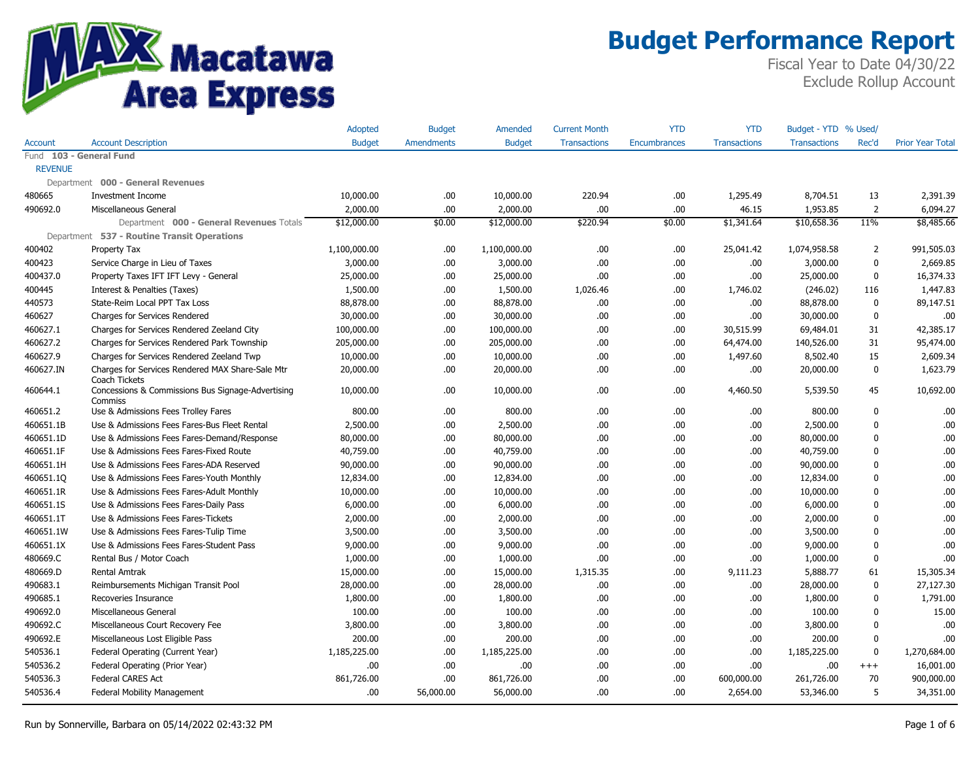

|                |                                                                   | <b>Adopted</b> | <b>Budget</b>     | Amended       | <b>Current Month</b> | <b>YTD</b>   | <b>YTD</b>          | Budget - YTD % Used/ |                |                         |
|----------------|-------------------------------------------------------------------|----------------|-------------------|---------------|----------------------|--------------|---------------------|----------------------|----------------|-------------------------|
| <b>Account</b> | <b>Account Description</b>                                        | <b>Budget</b>  | <b>Amendments</b> | <b>Budget</b> | <b>Transactions</b>  | Encumbrances | <b>Transactions</b> | <b>Transactions</b>  | Rec'd          | <b>Prior Year Total</b> |
|                | Fund 103 - General Fund                                           |                |                   |               |                      |              |                     |                      |                |                         |
| <b>REVENUE</b> |                                                                   |                |                   |               |                      |              |                     |                      |                |                         |
|                | Department 000 - General Revenues                                 |                |                   |               |                      |              |                     |                      |                |                         |
| 480665         | <b>Investment Income</b>                                          | 10,000.00      | .00.              | 10,000.00     | 220.94               | .00          | 1,295.49            | 8,704.51             | 13             | 2,391.39                |
| 490692.0       | Miscellaneous General                                             | 2,000.00       | .00               | 2,000.00      | .00.                 | .00          | 46.15               | 1,953.85             | $\overline{2}$ | 6,094.27                |
|                | Department 000 - General Revenues Totals                          | \$12,000.00    | \$0.00            | \$12,000.00   | \$220.94             | \$0.00       | \$1,341.64          | \$10,658.36          | 11%            | \$8,485.66              |
|                | Department 537 - Routine Transit Operations                       |                |                   |               |                      |              |                     |                      |                |                         |
| 400402         | Property Tax                                                      | 1,100,000.00   | .00.              | 1,100,000.00  | .00.                 | .00          | 25,041.42           | 1,074,958.58         | $\overline{2}$ | 991,505.03              |
| 400423         | Service Charge in Lieu of Taxes                                   | 3,000.00       | .00               | 3,000.00      | .00.                 | .00          | .00.                | 3,000.00             | $\mathbf 0$    | 2,669.85                |
| 400437.0       | Property Taxes IFT IFT Levy - General                             | 25,000.00      | .00               | 25,000.00     | .00                  | .00          | .00                 | 25,000.00            | $\mathbf{0}$   | 16,374.33               |
| 400445         | Interest & Penalties (Taxes)                                      | 1,500.00       | .00.              | 1,500.00      | 1,026.46             | .00          | 1,746.02            | (246.02)             | 116            | 1,447.83                |
| 440573         | State-Reim Local PPT Tax Loss                                     | 88,878.00      | .00.              | 88,878.00     | .00.                 | .00          | .00.                | 88,878.00            | $\mathbf 0$    | 89,147.51               |
| 460627         | Charges for Services Rendered                                     | 30,000.00      | .00.              | 30,000.00     | .00.                 | .00          | .00.                | 30,000.00            | $\mathbf 0$    | .00                     |
| 460627.1       | Charges for Services Rendered Zeeland City                        | 100,000.00     | .00.              | 100,000.00    | .00.                 | .00          | 30,515.99           | 69,484.01            | 31             | 42,385.17               |
| 460627.2       | Charges for Services Rendered Park Township                       | 205,000.00     | .00.              | 205,000.00    | .00.                 | .00          | 64,474.00           | 140,526.00           | 31             | 95,474.00               |
| 460627.9       | Charges for Services Rendered Zeeland Twp                         | 10,000.00      | .00               | 10,000.00     | .00.                 | .00          | 1,497.60            | 8,502.40             | 15             | 2,609.34                |
| 460627.IN      | Charges for Services Rendered MAX Share-Sale Mtr<br>Coach Tickets | 20,000.00      | 00.               | 20,000.00     | .00.                 | .00          | .00.                | 20,000.00            | $\mathbf 0$    | 1,623.79                |
| 460644.1       | Concessions & Commissions Bus Signage-Advertising<br>Commiss      | 10,000.00      | .00.              | 10,000.00     | .00.                 | .00          | 4,460.50            | 5,539.50             | 45             | 10,692.00               |
| 460651.2       | Use & Admissions Fees Trolley Fares                               | 800.00         | .00.              | 800.00        | .00.                 | .00          | .00.                | 800.00               | $\mathbf 0$    | .00                     |
| 460651.1B      | Use & Admissions Fees Fares-Bus Fleet Rental                      | 2,500.00       | .00               | 2,500.00      | .00.                 | .00          | .00.                | 2,500.00             | $\mathbf{0}$   | .00                     |
| 460651.1D      | Use & Admissions Fees Fares-Demand/Response                       | 80,000.00      | .00.              | 80,000.00     | .00.                 | .00          | .00.                | 80,000.00            | $\mathbf{0}$   | .00                     |
| 460651.1F      | Use & Admissions Fees Fares-Fixed Route                           | 40,759.00      | .00.              | 40,759.00     | .00.                 | .00          | .00.                | 40,759.00            | $\mathbf 0$    | .00                     |
| 460651.1H      | Use & Admissions Fees Fares-ADA Reserved                          | 90,000.00      | .00               | 90,000.00     | .00.                 | .00          | .00                 | 90,000.00            | $\mathbf 0$    | .00                     |
| 460651.10      | Use & Admissions Fees Fares-Youth Monthly                         | 12,834.00      | .00.              | 12,834.00     | .00                  | .00          | .00                 | 12,834.00            | $\mathbf{0}$   | .00                     |
| 460651.1R      | Use & Admissions Fees Fares-Adult Monthly                         | 10,000.00      | .00.              | 10,000.00     | .00.                 | .00          | .00.                | 10,000.00            | $\mathbf 0$    | .00                     |
| 460651.1S      | Use & Admissions Fees Fares-Daily Pass                            | 6,000.00       | .00.              | 6,000.00      | .00.                 | .00          | .00.                | 6,000.00             | $\mathbf 0$    | .00.                    |
| 460651.1T      | Use & Admissions Fees Fares-Tickets                               | 2,000.00       | .00               | 2,000.00      | .00.                 | .00          | .00.                | 2,000.00             | $\mathbf{0}$   | .00                     |
| 460651.1W      | Use & Admissions Fees Fares-Tulip Time                            | 3,500.00       | .00.              | 3,500.00      | .00.                 | .00          | .00                 | 3,500.00             | $\Omega$       | .00                     |
| 460651.1X      | Use & Admissions Fees Fares-Student Pass                          | 9,000.00       | .00.              | 9,000.00      | .00.                 | .00          | .00                 | 9,000.00             | $\mathbf{0}$   | .00                     |
| 480669.C       | Rental Bus / Motor Coach                                          | 1,000.00       | .00               | 1,000.00      | 00.                  | .00          | .00                 | 1,000.00             | $\mathbf 0$    | .00                     |
| 480669.D       | <b>Rental Amtrak</b>                                              | 15,000.00      | .00.              | 15,000.00     | 1,315.35             | .00          | 9,111.23            | 5,888.77             | 61             | 15,305.34               |
| 490683.1       | Reimbursements Michigan Transit Pool                              | 28,000.00      | 00.               | 28,000.00     | .00                  | .00          | .00                 | 28,000.00            | $\mathbf{0}$   | 27,127.30               |
| 490685.1       | Recoveries Insurance                                              | 1,800.00       | .00.              | 1,800.00      | .00.                 | .00          | .00.                | 1,800.00             | 0              | 1,791.00                |
| 490692.0       | Miscellaneous General                                             | 100.00         | .00.              | 100.00        | .00.                 | .00          | .00.                | 100.00               | $\mathbf 0$    | 15.00                   |
| 490692.C       | Miscellaneous Court Recovery Fee                                  | 3,800.00       | .00.              | 3,800.00      | .00.                 | .00          | .00.                | 3,800.00             | $\Omega$       | .00                     |
| 490692.E       | Miscellaneous Lost Eligible Pass                                  | 200.00         | .00.              | 200.00        | .00                  | .00          | .00                 | 200.00               | $\mathbf 0$    | .00                     |
| 540536.1       | Federal Operating (Current Year)                                  | 1,185,225.00   | .00.              | 1,185,225.00  | .00.                 | .00          | .00.                | 1,185,225.00         | $\mathbf 0$    | 1,270,684.00            |
| 540536.2       | Federal Operating (Prior Year)                                    | .00            | .00               | .00           | .00.                 | .00          | .00.                | .00                  | $^{+++}$       | 16,001.00               |
| 540536.3       | <b>Federal CARES Act</b>                                          | 861,726.00     | .00               | 861,726.00    | .00.                 | .00          | 600,000.00          | 261,726.00           | 70             | 900,000.00              |
| 540536.4       | Federal Mobility Management                                       | .00            | 56,000.00         | 56,000.00     | 00.                  | .00          | 2,654.00            | 53,346.00            | 5              | 34,351.00               |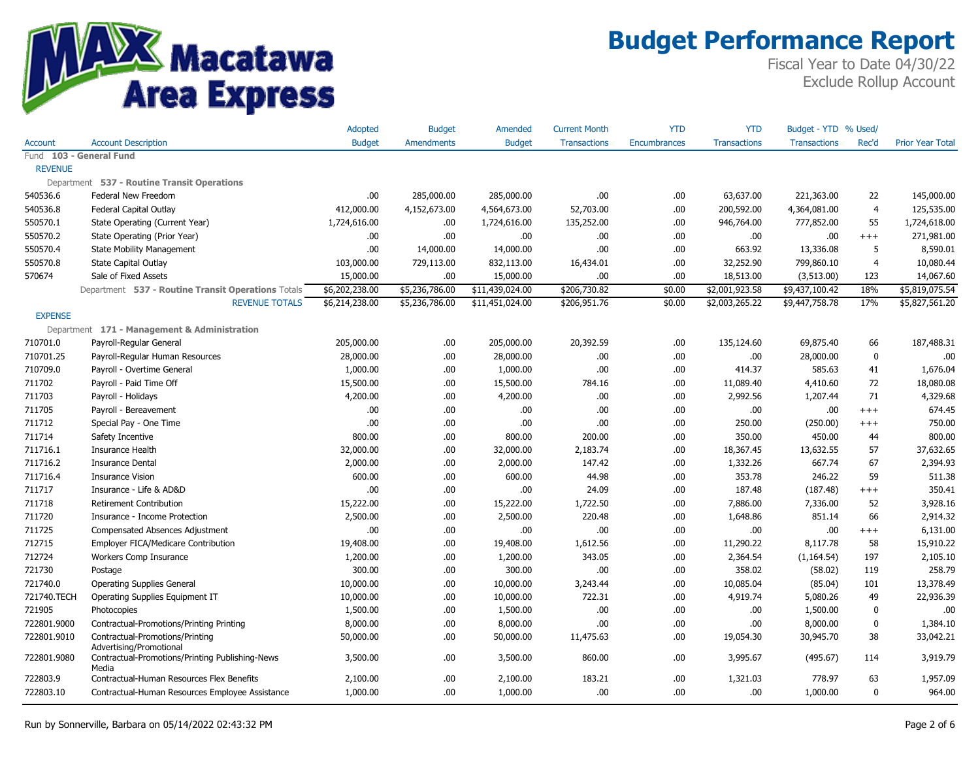

|                         |                                                          | Adopted        | <b>Budget</b>     | Amended         | <b>Current Month</b> | YTD          | YTD                 | Budget - YTD        | % Used/        |                         |
|-------------------------|----------------------------------------------------------|----------------|-------------------|-----------------|----------------------|--------------|---------------------|---------------------|----------------|-------------------------|
| Account                 | <b>Account Description</b>                               | <b>Budget</b>  | <b>Amendments</b> | <b>Budget</b>   | <b>Transactions</b>  | Encumbrances | <b>Transactions</b> | <b>Transactions</b> | Rec'd          | <b>Prior Year Total</b> |
| Fund 103 - General Fund |                                                          |                |                   |                 |                      |              |                     |                     |                |                         |
| <b>REVENUE</b>          |                                                          |                |                   |                 |                      |              |                     |                     |                |                         |
|                         | Department 537 - Routine Transit Operations              |                |                   |                 |                      |              |                     |                     |                |                         |
| 540536.6                | Federal New Freedom                                      | .00.           | 285,000.00        | 285,000.00      | .00                  | .00          | 63,637.00           | 221,363.00          | 22             | 145,000.00              |
| 540536.8                | <b>Federal Capital Outlay</b>                            | 412,000.00     | 4,152,673.00      | 4,564,673.00    | 52,703.00            | .00          | 200,592.00          | 4,364,081.00        | $\overline{4}$ | 125,535.00              |
| 550570.1                | State Operating (Current Year)                           | 1,724,616.00   | .00.              | 1,724,616.00    | 135,252.00           | .00          | 946,764.00          | 777,852.00          | 55             | 1,724,618.00            |
| 550570.2                | State Operating (Prior Year)                             | .00            | .00.              | .00             | .00.                 | .00          | .00                 | .00                 | $^{+++}$       | 271,981.00              |
| 550570.4                | <b>State Mobility Management</b>                         | .00            | 14,000.00         | 14,000.00       | .00.                 | .00          | 663.92              | 13,336.08           | 5              | 8,590.01                |
| 550570.8                | <b>State Capital Outlay</b>                              | 103,000.00     | 729,113.00        | 832,113.00      | 16,434.01            | .00          | 32,252.90           | 799,860.10          | $\overline{4}$ | 10,080.44               |
| 570674                  | Sale of Fixed Assets                                     | 15,000.00      | .00.              | 15,000.00       | .00.                 | .00          | 18,513.00           | (3,513.00)          | 123            | 14,067.60               |
|                         | Department 537 - Routine Transit Operations Totals       | \$6,202,238.00 | \$5,236,786.00    | \$11,439,024.00 | \$206,730.82         | \$0.00       | \$2,001,923.58      | \$9,437,100.42      | 18%            | \$5,819,075.54          |
|                         | <b>REVENUE TOTALS</b>                                    | \$6,214,238.00 | \$5,236,786.00    | \$11,451,024.00 | \$206,951.76         | \$0.00       | \$2,003,265.22      | \$9,447,758.78      | 17%            | \$5,827,561.20          |
| <b>EXPENSE</b>          |                                                          |                |                   |                 |                      |              |                     |                     |                |                         |
|                         | Department 171 - Management & Administration             |                |                   |                 |                      |              |                     |                     |                |                         |
| 710701.0                | Payroll-Regular General                                  | 205,000.00     | .00.              | 205,000.00      | 20,392.59            | .00          | 135,124.60          | 69,875.40           | 66             | 187,488.31              |
| 710701.25               | Payroll-Regular Human Resources                          | 28,000.00      | .00               | 28,000.00       | .00.                 | .00          | .00.                | 28,000.00           | $\mathbf 0$    | .00.                    |
| 710709.0                | Payroll - Overtime General                               | 1,000.00       | .00               | 1,000.00        | .00.                 | .00          | 414.37              | 585.63              | 41             | 1,676.04                |
| 711702                  | Payroll - Paid Time Off                                  | 15,500.00      | .00               | 15,500.00       | 784.16               | .00          | 11,089.40           | 4,410.60            | 72             | 18,080.08               |
| 711703                  | Payroll - Holidays                                       | 4,200.00       | .00               | 4,200.00        | .00.                 | .00          | 2,992.56            | 1,207.44            | 71             | 4,329.68                |
| 711705                  | Payroll - Bereavement                                    | .00            | .00.              | .00             | .00.                 | .00          | .00.                | .00                 | $+++$          | 674.45                  |
| 711712                  | Special Pay - One Time                                   | .00            | .00               | .00             | .00.                 | .00          | 250.00              | (250.00)            | $+++$          | 750.00                  |
| 711714                  | Safety Incentive                                         | 800.00         | .00.              | 800.00          | 200.00               | .00          | 350.00              | 450.00              | 44             | 800.00                  |
| 711716.1                | Insurance Health                                         | 32,000.00      | .00.              | 32,000.00       | 2,183.74             | .00          | 18,367.45           | 13,632.55           | 57             | 37,632.65               |
| 711716.2                | <b>Insurance Dental</b>                                  | 2,000.00       | .00.              | 2,000.00        | 147.42               | .00          | 1,332.26            | 667.74              | 67             | 2,394.93                |
| 711716.4                | <b>Insurance Vision</b>                                  | 600.00         | .00.              | 600.00          | 44.98                | .00          | 353.78              | 246.22              | 59             | 511.38                  |
| 711717                  | Insurance - Life & AD&D                                  | .00            | .00.              | .00.            | 24.09                | .00          | 187.48              | (187.48)            | $^{+++}$       | 350.41                  |
| 711718                  | <b>Retirement Contribution</b>                           | 15,222.00      | .00.              | 15,222.00       | 1,722.50             | .00          | 7,886.00            | 7,336.00            | 52             | 3,928.16                |
| 711720                  | Insurance - Income Protection                            | 2,500.00       | .00.              | 2,500.00        | 220.48               | .00          | 1,648.86            | 851.14              | 66             | 2,914.32                |
| 711725                  | Compensated Absences Adjustment                          | .00            | .00.              | .00             | .00.                 | .00          | .00.                | .00                 | $+++$          | 6,131.00                |
| 712715                  | Employer FICA/Medicare Contribution                      | 19,408.00      | .00.              | 19,408.00       | 1,612.56             | .00          | 11,290.22           | 8,117.78            | 58             | 15,910.22               |
| 712724                  | Workers Comp Insurance                                   | 1,200.00       | .00               | 1,200.00        | 343.05               | .00          | 2,364.54            | (1, 164.54)         | 197            | 2,105.10                |
| 721730                  | Postage                                                  | 300.00         | .00               | 300.00          | .00.                 | .00          | 358.02              | (58.02)             | 119            | 258.79                  |
| 721740.0                | <b>Operating Supplies General</b>                        | 10,000.00      | .00               | 10,000.00       | 3,243.44             | .00          | 10,085.04           | (85.04)             | 101            | 13,378.49               |
| 721740.TECH             | Operating Supplies Equipment IT                          | 10,000.00      | .00               | 10,000.00       | 722.31               | .00          | 4,919.74            | 5,080.26            | 49             | 22,936.39               |
| 721905                  | Photocopies                                              | 1,500.00       | .00.              | 1,500.00        | .00.                 | .00          | .00.                | 1,500.00            | $\mathbf 0$    | .00                     |
| 722801.9000             | Contractual-Promotions/Printing Printing                 | 8,000.00       | .00.              | 8,000.00        | .00                  | .00          | .00.                | 8,000.00            | $\mathbf 0$    | 1,384.10                |
| 722801.9010             | Contractual-Promotions/Printing                          | 50,000.00      | .00.              | 50,000.00       | 11,475.63            | .00          | 19,054.30           | 30,945.70           | 38             | 33,042.21               |
|                         | Advertising/Promotional                                  |                |                   |                 |                      |              |                     |                     |                |                         |
| 722801.9080             | Contractual-Promotions/Printing Publishing-News<br>Media | 3,500.00       | .00               | 3,500.00        | 860.00               | .00          | 3,995.67            | (495.67)            | 114            | 3,919.79                |
| 722803.9                | Contractual-Human Resources Flex Benefits                | 2,100.00       | .00.              | 2,100.00        | 183.21               | .00          | 1,321.03            | 778.97              | 63             | 1,957.09                |
| 722803.10               | Contractual-Human Resources Employee Assistance          | 1,000.00       | .00.              | 1,000.00        | .00.                 | .00          | .00.                | 1,000.00            | $\mathbf 0$    | 964.00                  |
|                         |                                                          |                |                   |                 |                      |              |                     |                     |                |                         |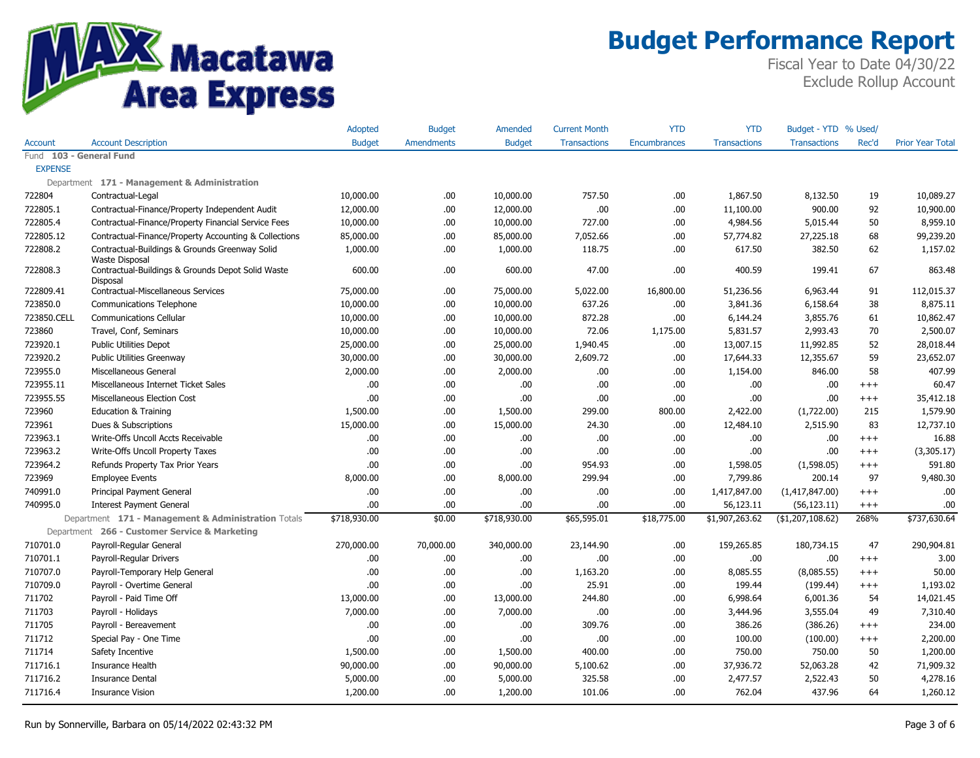

|                         |                                                                                        | Adopted       | <b>Budget</b> | Amended       | <b>Current Month</b> | <b>YTD</b>   | <b>YTD</b>          | Budget - YTD % Used/ |          |                         |
|-------------------------|----------------------------------------------------------------------------------------|---------------|---------------|---------------|----------------------|--------------|---------------------|----------------------|----------|-------------------------|
| <b>Account</b>          | <b>Account Description</b>                                                             | <b>Budget</b> | Amendments    | <b>Budget</b> | <b>Transactions</b>  | Encumbrances | <b>Transactions</b> | <b>Transactions</b>  | Rec'd    | <b>Prior Year Total</b> |
| Fund 103 - General Fund |                                                                                        |               |               |               |                      |              |                     |                      |          |                         |
| <b>EXPENSE</b>          |                                                                                        |               |               |               |                      |              |                     |                      |          |                         |
|                         | Department 171 - Management & Administration                                           |               |               |               |                      |              |                     |                      |          |                         |
| 722804                  | Contractual-Legal                                                                      | 10,000.00     | .00.          | 10,000.00     | 757.50               | .00          | 1,867.50            | 8,132.50             | 19       | 10,089.27               |
| 722805.1                | Contractual-Finance/Property Independent Audit                                         | 12,000.00     | .00.          | 12,000.00     | .00.                 | .00          | 11,100.00           | 900.00               | 92       | 10,900.00               |
| 722805.4                | Contractual-Finance/Property Financial Service Fees                                    | 10,000.00     | .00.          | 10,000.00     | 727.00               | .00          | 4,984.56            | 5,015.44             | 50       | 8,959.10                |
| 722805.12               | Contractual-Finance/Property Accounting & Collections                                  | 85,000.00     | .00.          | 85,000.00     | 7,052.66             | .00          | 57,774.82           | 27,225.18            | 68       | 99,239.20               |
| 722808.2                | Contractual-Buildings & Grounds Greenway Solid                                         | 1,000.00      | .00.          | 1,000.00      | 118.75               | .00          | 617.50              | 382.50               | 62       | 1,157.02                |
| 722808.3                | <b>Waste Disposal</b><br>Contractual-Buildings & Grounds Depot Solid Waste<br>Disposal | 600.00        | .00.          | 600.00        | 47.00                | .00          | 400.59              | 199.41               | 67       | 863.48                  |
| 722809.41               | Contractual-Miscellaneous Services                                                     | 75,000.00     | .00.          | 75,000.00     | 5,022.00             | 16,800.00    | 51,236.56           | 6,963.44             | 91       | 112,015.37              |
| 723850.0                | <b>Communications Telephone</b>                                                        | 10,000.00     | .00.          | 10,000.00     | 637.26               | .00          | 3,841.36            | 6,158.64             | 38       | 8,875.11                |
| 723850.CELL             | <b>Communications Cellular</b>                                                         | 10,000.00     | .00.          | 10,000.00     | 872.28               | .00          | 6,144.24            | 3,855.76             | 61       | 10,862.47               |
| 723860                  | Travel, Conf, Seminars                                                                 | 10,000.00     | .00.          | 10,000.00     | 72.06                | 1,175.00     | 5,831.57            | 2,993.43             | 70       | 2,500.07                |
| 723920.1                | <b>Public Utilities Depot</b>                                                          | 25,000.00     | .00.          | 25,000.00     | 1,940.45             | .00          | 13,007.15           | 11,992.85            | 52       | 28,018.44               |
| 723920.2                | Public Utilities Greenway                                                              | 30,000.00     | .00.          | 30,000.00     | 2,609.72             | .00          | 17,644.33           | 12,355.67            | 59       | 23,652.07               |
| 723955.0                | Miscellaneous General                                                                  | 2,000.00      | .00.          | 2,000.00      | .00.                 | .00          | 1,154.00            | 846.00               | 58       | 407.99                  |
| 723955.11               | Miscellaneous Internet Ticket Sales                                                    | .00           | .00.          | .00           | .00.                 | .00          | .00.                | .00                  | $^{+++}$ | 60.47                   |
| 723955.55               | Miscellaneous Election Cost                                                            | .00           | .00.          | .00           | .00.                 | .00          | .00.                | .00                  | $^{+++}$ | 35,412.18               |
| 723960                  | <b>Education &amp; Training</b>                                                        | 1,500.00      | .00.          | 1,500.00      | 299.00               | 800.00       | 2,422.00            | (1,722.00)           | 215      | 1,579.90                |
| 723961                  | Dues & Subscriptions                                                                   | 15,000.00     | .00.          | 15,000.00     | 24.30                | .00          | 12,484.10           | 2,515.90             | 83       | 12,737.10               |
| 723963.1                | Write-Offs Uncoll Accts Receivable                                                     | .00           | .00.          | .00           | .00.                 | .00          | .00.                | .00                  | $^{+++}$ | 16.88                   |
| 723963.2                | Write-Offs Uncoll Property Taxes                                                       | .00           | .00.          | .00           | .00.                 | .00          | .00.                | .00                  | $^{+++}$ | (3,305.17)              |
| 723964.2                | Refunds Property Tax Prior Years                                                       | .00           | .00.          | .00           | 954.93               | .00          | 1,598.05            | (1,598.05)           | $^{+++}$ | 591.80                  |
| 723969                  | <b>Employee Events</b>                                                                 | 8,000.00      | .00.          | 8,000.00      | 299.94               | .00          | 7,799.86            | 200.14               | 97       | 9,480.30                |
| 740991.0                | Principal Payment General                                                              | .00           | .00.          | .00           | .00.                 | .00          | 1,417,847.00        | (1,417,847.00)       | $^{+++}$ | .00                     |
| 740995.0                | <b>Interest Payment General</b>                                                        | .00           | .00.          | .00           | .00.                 | .00          | 56,123.11           | (56, 123.11)         | $^{+++}$ | .00                     |
|                         | Department 171 - Management & Administration Totals                                    | \$718,930.00  | \$0.00        | \$718,930.00  | \$65,595.01          | \$18,775.00  | \$1,907,263.62      | (\$1,207,108.62)     | 268%     | \$737,630.64            |
|                         | Department 266 - Customer Service & Marketing                                          |               |               |               |                      |              |                     |                      |          |                         |
| 710701.0                | Payroll-Regular General                                                                | 270,000.00    | 70,000.00     | 340,000.00    | 23,144.90            | .00          | 159,265.85          | 180,734.15           | 47       | 290,904.81              |
| 710701.1                | Payroll-Regular Drivers                                                                | .00           | .00.          | .00           | .00.                 | .00          | .00.                | .00                  | $+++$    | 3.00                    |
| 710707.0                | Payroll-Temporary Help General                                                         | .00           | .00.          | .00           | 1,163.20             | .00          | 8,085.55            | (8,085.55)           | $^{+++}$ | 50.00                   |
| 710709.0                | Payroll - Overtime General                                                             | .00           | .00.          | .00           | 25.91                | .00          | 199.44              | (199.44)             | $^{+++}$ | 1,193.02                |
| 711702                  | Payroll - Paid Time Off                                                                | 13,000.00     | .00.          | 13,000.00     | 244.80               | .00          | 6,998.64            | 6,001.36             | 54       | 14,021.45               |
| 711703                  | Payroll - Holidays                                                                     | 7,000.00      | .00.          | 7,000.00      | .00.                 | .00          | 3,444.96            | 3,555.04             | 49       | 7,310.40                |
| 711705                  | Payroll - Bereavement                                                                  | .00           | .00.          | .00           | 309.76               | .00          | 386.26              | (386.26)             | $+++$    | 234.00                  |
| 711712                  | Special Pay - One Time                                                                 | .00           | .00.          | .00           | .00.                 | .00          | 100.00              | (100.00)             | $^{+++}$ | 2,200.00                |
| 711714                  | Safety Incentive                                                                       | 1,500.00      | .00.          | 1,500.00      | 400.00               | .00          | 750.00              | 750.00               | 50       | 1,200.00                |
| 711716.1                | Insurance Health                                                                       | 90,000.00     | .00.          | 90,000.00     | 5,100.62             | .00          | 37,936.72           | 52,063.28            | 42       | 71,909.32               |
| 711716.2                | <b>Insurance Dental</b>                                                                | 5,000.00      | .00.          | 5,000.00      | 325.58               | .00          | 2,477.57            | 2,522.43             | 50       | 4,278.16                |
| 711716.4                | <b>Insurance Vision</b>                                                                | 1,200.00      | .00.          | 1,200.00      | 101.06               | .00          | 762.04              | 437.96               | 64       | 1,260.12                |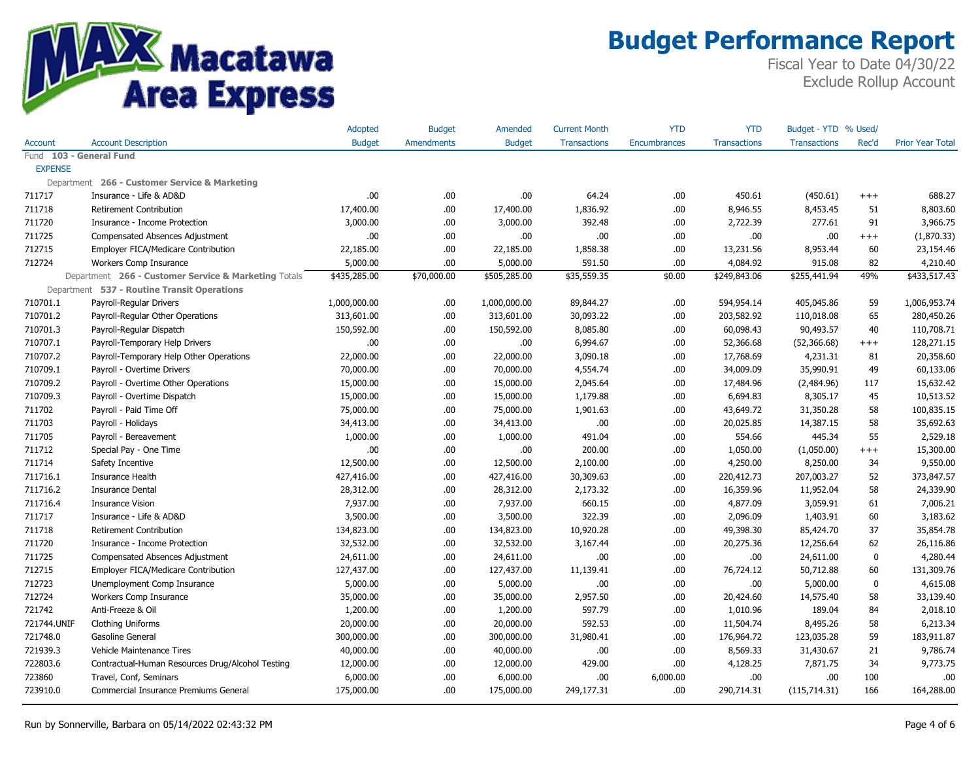

|                |                                                      | Adopted       | <b>Budget</b>     | Amended       | <b>Current Month</b> | YTD                 | YTD                 | Budget - YTD        | % Used      |                         |
|----------------|------------------------------------------------------|---------------|-------------------|---------------|----------------------|---------------------|---------------------|---------------------|-------------|-------------------------|
| Account        | <b>Account Description</b>                           | <b>Budget</b> | <b>Amendments</b> | <b>Budget</b> | <b>Transactions</b>  | <b>Encumbrances</b> | <b>Transactions</b> | <b>Transactions</b> | Rec'd       | <b>Prior Year Total</b> |
|                | Fund 103 - General Fund                              |               |                   |               |                      |                     |                     |                     |             |                         |
| <b>EXPENSE</b> |                                                      |               |                   |               |                      |                     |                     |                     |             |                         |
|                | Department 266 - Customer Service & Marketing        |               |                   |               |                      |                     |                     |                     |             |                         |
| 711717         | Insurance - Life & AD&D                              | .00           | .00               | .00           | 64.24                | .00                 | 450.61              | (450.61)            | $^{+++}$    | 688.27                  |
| 711718         | <b>Retirement Contribution</b>                       | 17,400.00     | .00               | 17,400.00     | 1,836.92             | .00.                | 8,946.55            | 8,453.45            | 51          | 8,803.60                |
| 711720         | Insurance - Income Protection                        | 3,000.00      | .00               | 3,000.00      | 392.48               | .00                 | 2,722.39            | 277.61              | 91          | 3,966.75                |
| 711725         | Compensated Absences Adjustment                      | .00.          | .00               | .00.          | .00.                 | .00                 | .00.                | .00.                | $^{+++}$    | (1,870.33)              |
| 712715         | Employer FICA/Medicare Contribution                  | 22,185.00     | .00               | 22,185.00     | 1,858.38             | .00.                | 13,231.56           | 8,953.44            | 60          | 23,154.46               |
| 712724         | Workers Comp Insurance                               | 5,000.00      | .00               | 5,000.00      | 591.50               | .00.                | 4,084.92            | 915.08              | 82          | 4,210.40                |
|                | Department 266 - Customer Service & Marketing Totals | \$435,285.00  | \$70,000.00       | \$505,285.00  | \$35,559.35          | \$0.00              | \$249,843.06        | \$255,441.94        | 49%         | \$433,517.43            |
|                | Department 537 - Routine Transit Operations          |               |                   |               |                      |                     |                     |                     |             |                         |
| 710701.1       | Payroll-Regular Drivers                              | 1,000,000.00  | .00               | 1,000,000.00  | 89,844.27            | .00.                | 594,954.14          | 405,045.86          | 59          | 1,006,953.74            |
| 710701.2       | Payroll-Regular Other Operations                     | 313,601.00    | .00               | 313,601.00    | 30,093.22            | .00.                | 203,582.92          | 110,018.08          | 65          | 280,450.26              |
| 710701.3       | Payroll-Regular Dispatch                             | 150,592.00    | .00               | 150,592.00    | 8,085.80             | .00.                | 60,098.43           | 90,493.57           | 40          | 110,708.71              |
| 710707.1       | Payroll-Temporary Help Drivers                       | .00.          | .00               | .00.          | 6,994.67             | .00.                | 52,366.68           | (52, 366.68)        | $^{+++}$    | 128,271.15              |
| 710707.2       | Payroll-Temporary Help Other Operations              | 22,000.00     | .00               | 22,000.00     | 3,090.18             | .00.                | 17,768.69           | 4,231.31            | 81          | 20,358.60               |
| 710709.1       | Payroll - Overtime Drivers                           | 70,000.00     | .00               | 70,000.00     | 4,554.74             | .00.                | 34,009.09           | 35,990.91           | 49          | 60,133.06               |
| 710709.2       | Payroll - Overtime Other Operations                  | 15,000.00     | .00               | 15,000.00     | 2,045.64             | .00.                | 17,484.96           | (2,484.96)          | 117         | 15,632.42               |
| 710709.3       | Payroll - Overtime Dispatch                          | 15,000.00     | .00               | 15,000.00     | 1,179.88             | .00.                | 6,694.83            | 8,305.17            | 45          | 10,513.52               |
| 711702         | Payroll - Paid Time Off                              | 75,000.00     | .00               | 75,000.00     | 1,901.63             | .00.                | 43,649.72           | 31,350.28           | 58          | 100,835.15              |
| 711703         | Payroll - Holidays                                   | 34,413.00     | .00               | 34,413.00     | .00.                 | .00                 | 20,025.85           | 14,387.15           | 58          | 35,692.63               |
| 711705         | Payroll - Bereavement                                | 1,000.00      | .00               | 1,000.00      | 491.04               | .00                 | 554.66              | 445.34              | 55          | 2,529.18                |
| 711712         | Special Pay - One Time                               | .00.          | .00               | .00.          | 200.00               | .00                 | 1,050.00            | (1,050.00)          | $^{+++}$    | 15,300.00               |
| 711714         | Safety Incentive                                     | 12,500.00     | .00               | 12,500.00     | 2,100.00             | .00.                | 4,250.00            | 8,250.00            | 34          | 9,550.00                |
| 711716.1       | <b>Insurance Health</b>                              | 427,416.00    | .00               | 427,416.00    | 30,309.63            | .00.                | 220,412.73          | 207,003.27          | 52          | 373,847.57              |
| 711716.2       | <b>Insurance Dental</b>                              | 28,312.00     | .00               | 28,312.00     | 2,173.32             | .00                 | 16,359.96           | 11,952.04           | 58          | 24,339.90               |
| 711716.4       | <b>Insurance Vision</b>                              | 7,937.00      | .00               | 7,937.00      | 660.15               | .00.                | 4,877.09            | 3,059.91            | 61          | 7,006.21                |
| 711717         | Insurance - Life & AD&D                              | 3,500.00      | .00               | 3,500.00      | 322.39               | .00.                | 2,096.09            | 1,403.91            | 60          | 3,183.62                |
| 711718         | <b>Retirement Contribution</b>                       | 134,823.00    | .00               | 134,823.00    | 10,920.28            | .00                 | 49,398.30           | 85,424.70           | 37          | 35,854.78               |
| 711720         | Insurance - Income Protection                        | 32,532.00     | .00               | 32,532.00     | 3,167.44             | .00.                | 20,275.36           | 12,256.64           | 62          | 26,116.86               |
| 711725         | Compensated Absences Adjustment                      | 24,611.00     | .00               | 24,611.00     | .00                  | .00.                | .00.                | 24,611.00           | $\mathbf 0$ | 4,280.44                |
| 712715         | Employer FICA/Medicare Contribution                  | 127,437.00    | .00               | 127,437.00    | 11,139.41            | .00.                | 76,724.12           | 50,712.88           | 60          | 131,309.76              |
| 712723         | Unemployment Comp Insurance                          | 5,000.00      | .00               | 5,000.00      | .00.                 | .00.                | .00                 | 5,000.00            | 0           | 4,615.08                |
| 712724         | Workers Comp Insurance                               | 35,000.00     | .00               | 35,000.00     | 2,957.50             | .00.                | 20,424.60           | 14,575.40           | 58          | 33,139.40               |
| 721742         | Anti-Freeze & Oil                                    | 1,200.00      | .00               | 1,200.00      | 597.79               | .00.                | 1,010.96            | 189.04              | 84          | 2,018.10                |
| 721744.UNIF    | <b>Clothing Uniforms</b>                             | 20,000.00     | .00               | 20,000.00     | 592.53               | .00.                | 11,504.74           | 8,495.26            | 58          | 6,213.34                |
| 721748.0       | Gasoline General                                     | 300,000.00    | .00               | 300,000.00    | 31,980.41            | .00.                | 176,964.72          | 123,035.28          | 59          | 183,911.87              |
| 721939.3       | Vehicle Maintenance Tires                            | 40,000.00     | .00               | 40,000.00     | .00                  | .00                 | 8,569.33            | 31,430.67           | 21          | 9,786.74                |
| 722803.6       | Contractual-Human Resources Drug/Alcohol Testing     | 12,000.00     | .00               | 12,000.00     | 429.00               | .00.                | 4,128.25            | 7,871.75            | 34          | 9,773.75                |
| 723860         | Travel, Conf, Seminars                               | 6,000.00      | .00               | 6,000.00      | .00                  | 6,000.00            | .00                 | .00.                | 100         | .00                     |
| 723910.0       | Commercial Insurance Premiums General                | 175,000.00    | .00               | 175,000.00    | 249,177.31           | .00.                | 290,714.31          | (115, 714.31)       | 166         | 164,288.00              |
|                |                                                      |               |                   |               |                      |                     |                     |                     |             |                         |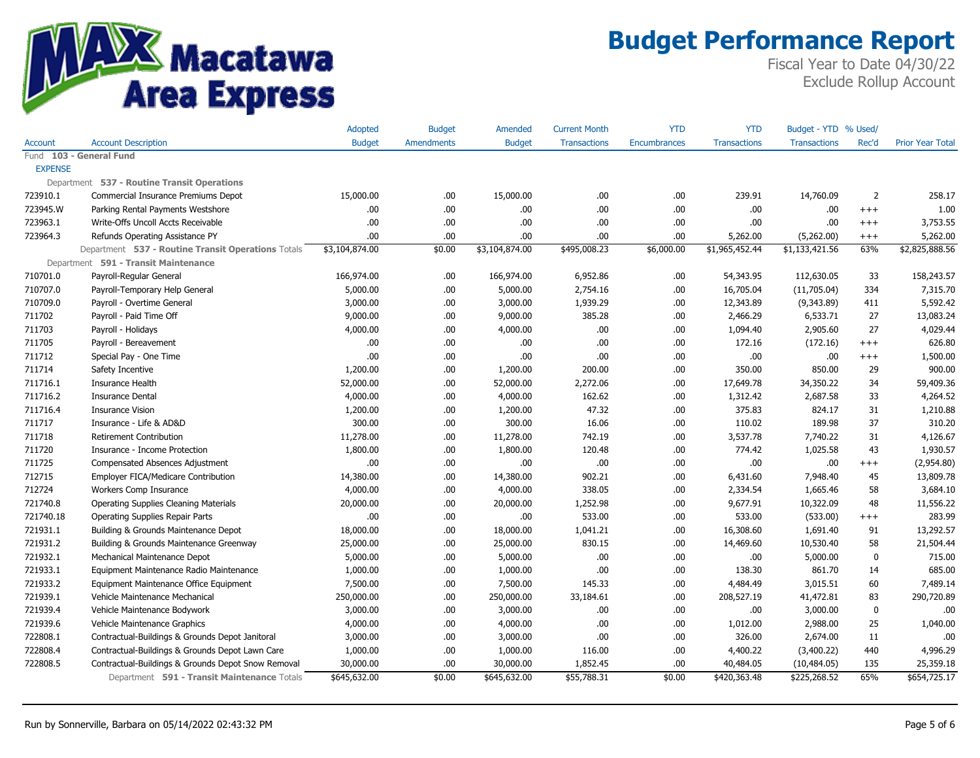

|                |                                                    | Adopted        | <b>Budget</b>     | Amended        | <b>Current Month</b> | YTD                 | YTD                 | Budget - YTD        | % Used   |                         |
|----------------|----------------------------------------------------|----------------|-------------------|----------------|----------------------|---------------------|---------------------|---------------------|----------|-------------------------|
| Account        | <b>Account Description</b>                         | <b>Budget</b>  | <b>Amendments</b> | <b>Budget</b>  | <b>Transactions</b>  | <b>Encumbrances</b> | <b>Transactions</b> | <b>Transactions</b> | Rec'd    | <b>Prior Year Total</b> |
|                | Fund 103 - General Fund                            |                |                   |                |                      |                     |                     |                     |          |                         |
| <b>EXPENSE</b> |                                                    |                |                   |                |                      |                     |                     |                     |          |                         |
|                | Department 537 - Routine Transit Operations        |                |                   |                |                      |                     |                     |                     |          |                         |
| 723910.1       | Commercial Insurance Premiums Depot                | 15,000.00      | .00               | 15,000.00      | .00                  | .00                 | 239.91              | 14,760.09           | 2        | 258.17                  |
| 723945.W       | Parking Rental Payments Westshore                  | .00.           | .00               | .00.           | .00                  | .00.                | .00                 | .00.                | $^{+++}$ | 1.00                    |
| 723963.1       | Write-Offs Uncoll Accts Receivable                 | .00            | .00.              | .00            | .00                  | .00.                | .00                 | .00                 | $^{+++}$ | 3,753.55                |
| 723964.3       | Refunds Operating Assistance PY                    | .00.           | .00               | .00            | .00                  | .00.                | 5,262.00            | (5,262.00)          | $^{+++}$ | 5,262.00                |
|                | Department 537 - Routine Transit Operations Totals | \$3,104,874.00 | \$0.00            | \$3,104,874.00 | \$495,008.23         | \$6,000.00          | \$1,965,452.44      | \$1,133,421.56      | 63%      | \$2,825,888.56          |
|                | Department 591 - Transit Maintenance               |                |                   |                |                      |                     |                     |                     |          |                         |
| 710701.0       | Payroll-Regular General                            | 166,974.00     | .00.              | 166,974.00     | 6,952.86             | .00.                | 54,343.95           | 112,630.05          | 33       | 158,243.57              |
| 710707.0       | Payroll-Temporary Help General                     | 5,000.00       | .00.              | 5,000.00       | 2,754.16             | .00                 | 16,705.04           | (11,705.04)         | 334      | 7,315.70                |
| 710709.0       | Payroll - Overtime General                         | 3,000.00       | .00.              | 3,000.00       | 1,939.29             | .00                 | 12,343.89           | (9,343.89)          | 411      | 5,592.42                |
| 711702         | Payroll - Paid Time Off                            | 9,000.00       | .00.              | 9,000.00       | 385.28               | .00                 | 2,466.29            | 6,533.71            | 27       | 13,083.24               |
| 711703         | Payroll - Holidays                                 | 4,000.00       | .00               | 4,000.00       | .00                  | .00                 | 1,094.40            | 2,905.60            | 27       | 4,029.44                |
| 711705         | Payroll - Bereavement                              | .00.           | .00.              | .00.           | .00                  | .00                 | 172.16              | (172.16)            | $^{+++}$ | 626.80                  |
| 711712         | Special Pay - One Time                             | .00.           | .00               | .00            | .00                  | .00                 | .00                 | .00.                | $^{+++}$ | 1,500.00                |
| 711714         | Safety Incentive                                   | 1,200.00       | .00               | 1,200.00       | 200.00               | .00.                | 350.00              | 850.00              | 29       | 900.00                  |
| 711716.1       | Insurance Health                                   | 52,000.00      | .00               | 52,000.00      | 2,272.06             | .00                 | 17,649.78           | 34,350.22           | 34       | 59,409.36               |
| 711716.2       | <b>Insurance Dental</b>                            | 4,000.00       | .00               | 4,000.00       | 162.62               | .00.                | 1,312.42            | 2,687.58            | 33       | 4,264.52                |
| 711716.4       | <b>Insurance Vision</b>                            | 1,200.00       | .00.              | 1,200.00       | 47.32                | .00.                | 375.83              | 824.17              | 31       | 1,210.88                |
| 711717         | Insurance - Life & AD&D                            | 300.00         | .00.              | 300.00         | 16.06                | .00                 | 110.02              | 189.98              | 37       | 310.20                  |
| 711718         | Retirement Contribution                            | 11,278.00      | .00               | 11,278.00      | 742.19               | .00                 | 3,537.78            | 7,740.22            | 31       | 4,126.67                |
| 711720         | Insurance - Income Protection                      | 1,800.00       | .00.              | 1,800.00       | 120.48               | .00                 | 774.42              | 1,025.58            | 43       | 1,930.57                |
| 711725         | Compensated Absences Adjustment                    | .00.           | .00               | .00.           | .00                  | .00.                | .00                 | .00                 | $^{+++}$ | (2,954.80)              |
| 712715         | Employer FICA/Medicare Contribution                | 14,380.00      | .00               | 14,380.00      | 902.21               | .00                 | 6,431.60            | 7,948.40            | 45       | 13,809.78               |
| 712724         | Workers Comp Insurance                             | 4,000.00       | .00               | 4,000.00       | 338.05               | .00                 | 2,334.54            | 1,665.46            | 58       | 3,684.10                |
| 721740.8       | <b>Operating Supplies Cleaning Materials</b>       | 20,000.00      | .00               | 20,000.00      | 1,252.98             | .00.                | 9,677.91            | 10,322.09           | 48       | 11,556.22               |
| 721740.18      | <b>Operating Supplies Repair Parts</b>             | .00.           | .00.              | .00.           | 533.00               | .00                 | 533.00              | (533.00)            | $^{+++}$ | 283.99                  |
| 721931.1       | Building & Grounds Maintenance Depot               | 18,000.00      | .00               | 18,000.00      | 1,041.21             | .00.                | 16,308.60           | 1,691.40            | 91       | 13,292.57               |
| 721931.2       | Building & Grounds Maintenance Greenway            | 25,000.00      | .00.              | 25,000.00      | 830.15               | .00                 | 14,469.60           | 10,530.40           | 58       | 21,504.44               |
| 721932.1       | Mechanical Maintenance Depot                       | 5,000.00       | .00               | 5,000.00       | .00                  | .00.                | .00                 | 5,000.00            | 0        | 715.00                  |
| 721933.1       | Equipment Maintenance Radio Maintenance            | 1,000.00       | .00.              | 1,000.00       | .00                  | .00                 | 138.30              | 861.70              | 14       | 685.00                  |
| 721933.2       | Equipment Maintenance Office Equipment             | 7,500.00       | .00               | 7,500.00       | 145.33               | .00.                | 4,484.49            | 3,015.51            | 60       | 7,489.14                |
| 721939.1       | Vehicle Maintenance Mechanical                     | 250,000.00     | .00.              | 250,000.00     | 33,184.61            | .00                 | 208,527.19          | 41,472.81           | 83       | 290,720.89              |
| 721939.4       | Vehicle Maintenance Bodywork                       | 3,000.00       | .00               | 3,000.00       | .00                  | .00.                | .00                 | 3,000.00            | 0        | .00                     |
| 721939.6       | Vehicle Maintenance Graphics                       | 4,000.00       | .00               | 4,000.00       | .00                  | .00.                | 1,012.00            | 2,988.00            | 25       | 1,040.00                |
| 722808.1       | Contractual-Buildings & Grounds Depot Janitoral    | 3,000.00       | .00.              | 3,000.00       | .00                  | .00                 | 326.00              | 2,674.00            | 11       | .00                     |
| 722808.4       | Contractual-Buildings & Grounds Depot Lawn Care    | 1,000.00       | .00.              | 1,000.00       | 116.00               | .00.                | 4,400.22            | (3,400.22)          | 440      | 4,996.29                |
| 722808.5       | Contractual-Buildings & Grounds Depot Snow Removal | 30,000.00      | .00.              | 30,000.00      | 1,852.45             | .00.                | 40,484.05           | (10, 484.05)        | 135      | 25,359.18               |
|                | Department 591 - Transit Maintenance Totals        | \$645,632.00   | \$0.00            | \$645,632.00   | \$55,788.31          | \$0.00              | \$420,363.48        | \$225,268.52        | 65%      | \$654,725.17            |
|                |                                                    |                |                   |                |                      |                     |                     |                     |          |                         |